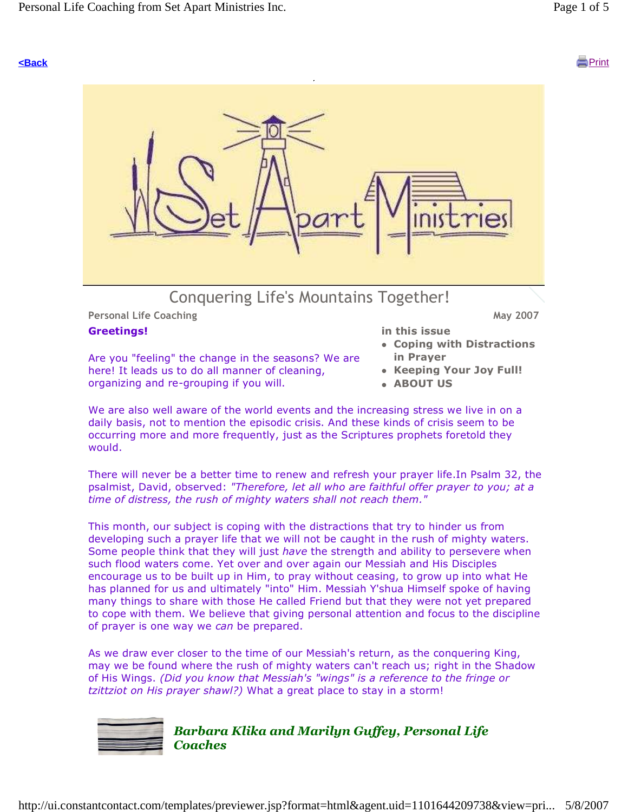## **<Back** Print



Personal Life Coaching May 2007

#### Greetings!

in this issue

- Are you "feeling" the change in the seasons? We are here! It leads us to do all manner of cleaning, organizing and re-grouping if you will.
- Coping with Distractions in Prayer
	- Keeping Your Joy Full!
	- ABOUT US

We are also well aware of the world events and the increasing stress we live in on a daily basis, not to mention the episodic crisis. And these kinds of crisis seem to be occurring more and more frequently, just as the Scriptures prophets foretold they would.

There will never be a better time to renew and refresh your prayer life.In Psalm 32, the psalmist, David, observed: "Therefore, let all who are faithful offer prayer to you; at a time of distress, the rush of mighty waters shall not reach them."

This month, our subject is coping with the distractions that try to hinder us from developing such a prayer life that we will not be caught in the rush of mighty waters. Some people think that they will just have the strength and ability to persevere when such flood waters come. Yet over and over again our Messiah and His Disciples encourage us to be built up in Him, to pray without ceasing, to grow up into what He has planned for us and ultimately "into" Him. Messiah Y'shua Himself spoke of having many things to share with those He called Friend but that they were not yet prepared to cope with them. We believe that giving personal attention and focus to the discipline of prayer is one way we can be prepared.

As we draw ever closer to the time of our Messiah's return, as the conquering King, may we be found where the rush of mighty waters can't reach us; right in the Shadow of His Wings. (Did you know that Messiah's "wings" is a reference to the fringe or tzittziot on His prayer shawl?) What a great place to stay in a storm!



### Barbara Klika and Marilyn Guffey, Personal Life **Coaches**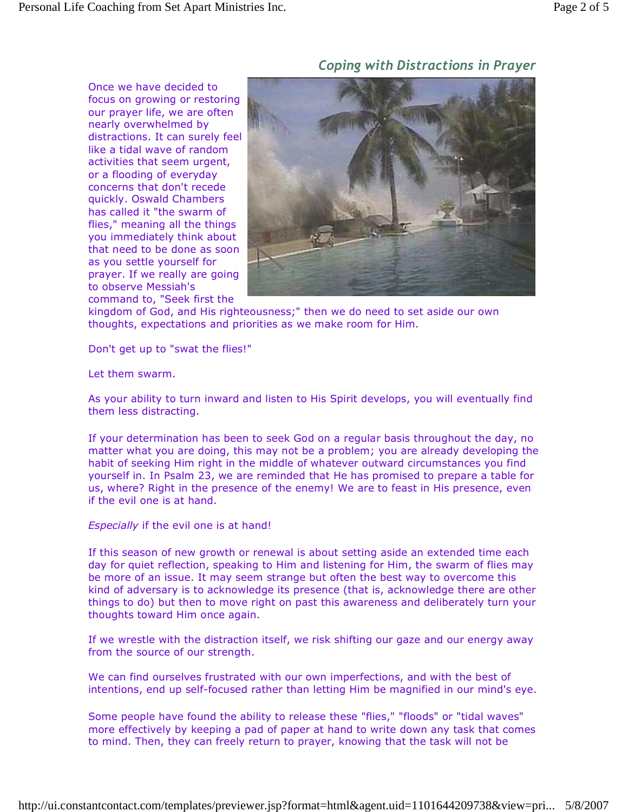Once we have decided to focus on growing or restoring our prayer life, we are often nearly overwhelmed by distractions. It can surely feel like a tidal wave of random activities that seem urgent, or a flooding of everyday concerns that don't recede quickly. Oswald Chambers has called it "the swarm of flies," meaning all the things you immediately think about that need to be done as soon as you settle yourself for prayer. If we really are going to observe Messiah's command to, "Seek first the

## Coping with Distractions in Prayer



kingdom of God, and His righteousness;" then we do need to set aside our own thoughts, expectations and priorities as we make room for Him.

Don't get up to "swat the flies!"

Let them swarm.

As your ability to turn inward and listen to His Spirit develops, you will eventually find them less distracting.

If your determination has been to seek God on a regular basis throughout the day, no matter what you are doing, this may not be a problem; you are already developing the habit of seeking Him right in the middle of whatever outward circumstances you find yourself in. In Psalm 23, we are reminded that He has promised to prepare a table for us, where? Right in the presence of the enemy! We are to feast in His presence, even if the evil one is at hand.

Especially if the evil one is at hand!

If this season of new growth or renewal is about setting aside an extended time each day for quiet reflection, speaking to Him and listening for Him, the swarm of flies may be more of an issue. It may seem strange but often the best way to overcome this kind of adversary is to acknowledge its presence (that is, acknowledge there are other things to do) but then to move right on past this awareness and deliberately turn your thoughts toward Him once again.

If we wrestle with the distraction itself, we risk shifting our gaze and our energy away from the source of our strength.

We can find ourselves frustrated with our own imperfections, and with the best of intentions, end up self-focused rather than letting Him be magnified in our mind's eye.

Some people have found the ability to release these "flies," "floods" or "tidal waves" more effectively by keeping a pad of paper at hand to write down any task that comes to mind. Then, they can freely return to prayer, knowing that the task will not be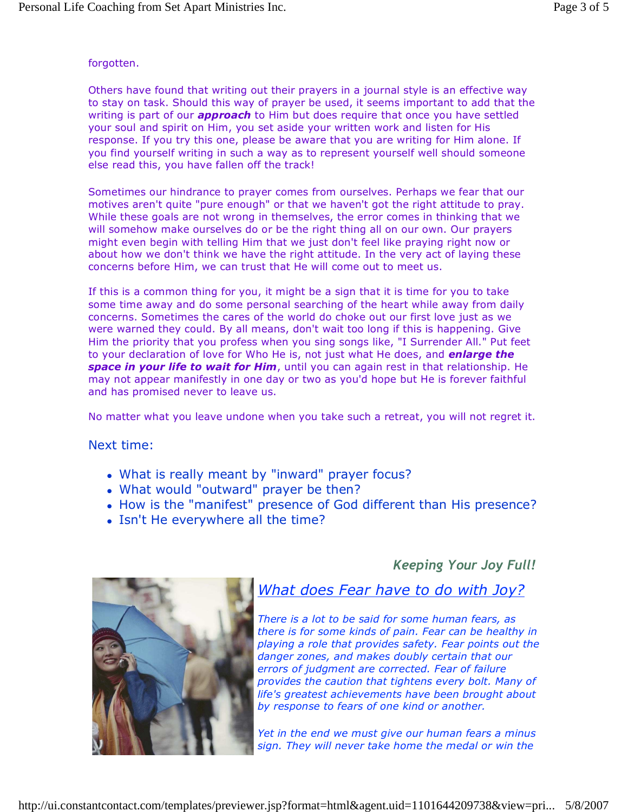#### forgotten.

Others have found that writing out their prayers in a journal style is an effective way to stay on task. Should this way of prayer be used, it seems important to add that the writing is part of our **approach** to Him but does require that once you have settled your soul and spirit on Him, you set aside your written work and listen for His response. If you try this one, please be aware that you are writing for Him alone. If you find yourself writing in such a way as to represent yourself well should someone else read this, you have fallen off the track!

Sometimes our hindrance to prayer comes from ourselves. Perhaps we fear that our motives aren't quite "pure enough" or that we haven't got the right attitude to pray. While these goals are not wrong in themselves, the error comes in thinking that we will somehow make ourselves do or be the right thing all on our own. Our prayers might even begin with telling Him that we just don't feel like praying right now or about how we don't think we have the right attitude. In the very act of laying these concerns before Him, we can trust that He will come out to meet us.

If this is a common thing for you, it might be a sign that it is time for you to take some time away and do some personal searching of the heart while away from daily concerns. Sometimes the cares of the world do choke out our first love just as we were warned they could. By all means, don't wait too long if this is happening. Give Him the priority that you profess when you sing songs like, "I Surrender All." Put feet to your declaration of love for Who He is, not just what He does, and *enlarge the* space in your life to wait for Him, until you can again rest in that relationship. He may not appear manifestly in one day or two as you'd hope but He is forever faithful and has promised never to leave us.

No matter what you leave undone when you take such a retreat, you will not regret it.

Next time:

- What is really meant by "inward" prayer focus?
- What would "outward" prayer be then?
- How is the "manifest" presence of God different than His presence?
- Isn't He everywhere all the time?

Keeping Your Joy Full!



# What does Fear have to do with Joy?

There is a lot to be said for some human fears, as there is for some kinds of pain. Fear can be healthy in playing a role that provides safety. Fear points out the danger zones, and makes doubly certain that our errors of judgment are corrected. Fear of failure provides the caution that tightens every bolt. Many of life's greatest achievements have been brought about by response to fears of one kind or another.

Yet in the end we must give our human fears a minus sign. They will never take home the medal or win the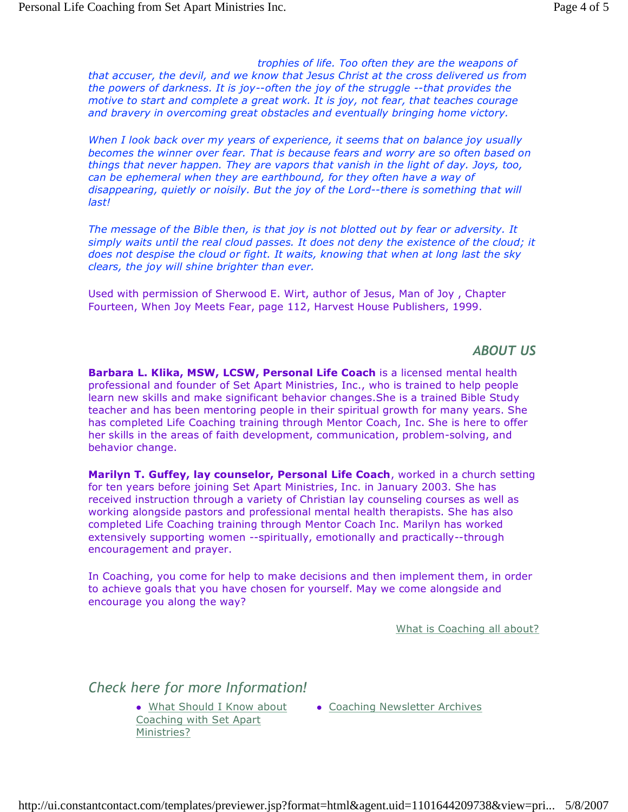trophies of life. Too often they are the weapons of that accuser, the devil, and we know that Jesus Christ at the cross delivered us from the powers of darkness. It is joy--often the joy of the struggle --that provides the motive to start and complete a great work. It is joy, not fear, that teaches courage and bravery in overcoming great obstacles and eventually bringing home victory.

When I look back over my years of experience, it seems that on balance joy usually becomes the winner over fear. That is because fears and worry are so often based on things that never happen. They are vapors that vanish in the light of day. Joys, too, can be ephemeral when they are earthbound, for they often have a way of disappearing, quietly or noisily. But the joy of the Lord--there is something that will last!

The message of the Bible then, is that joy is not blotted out by fear or adversity. It simply waits until the real cloud passes. It does not deny the existence of the cloud; it does not despise the cloud or fight. It waits, knowing that when at long last the sky clears, the joy will shine brighter than ever.

Used with permission of Sherwood E. Wirt, author of Jesus, Man of Joy , Chapter Fourteen, When Joy Meets Fear, page 112, Harvest House Publishers, 1999.

#### ABOUT US

Barbara L. Klika, MSW, LCSW, Personal Life Coach is a licensed mental health professional and founder of Set Apart Ministries, Inc., who is trained to help people learn new skills and make significant behavior changes.She is a trained Bible Study teacher and has been mentoring people in their spiritual growth for many years. She has completed Life Coaching training through Mentor Coach, Inc. She is here to offer her skills in the areas of faith development, communication, problem-solving, and behavior change.

Marilyn T. Guffey, lay counselor, Personal Life Coach, worked in a church setting for ten years before joining Set Apart Ministries, Inc. in January 2003. She has received instruction through a variety of Christian lay counseling courses as well as working alongside pastors and professional mental health therapists. She has also completed Life Coaching training through Mentor Coach Inc. Marilyn has worked extensively supporting women --spiritually, emotionally and practically--through encouragement and prayer.

In Coaching, you come for help to make decisions and then implement them, in order to achieve goals that you have chosen for yourself. May we come alongside and encourage you along the way?

What is Coaching all about?

Check here for more Information!

- What Should I Know about Coaching with Set Apart Ministries?
- **Coaching Newsletter Archives**